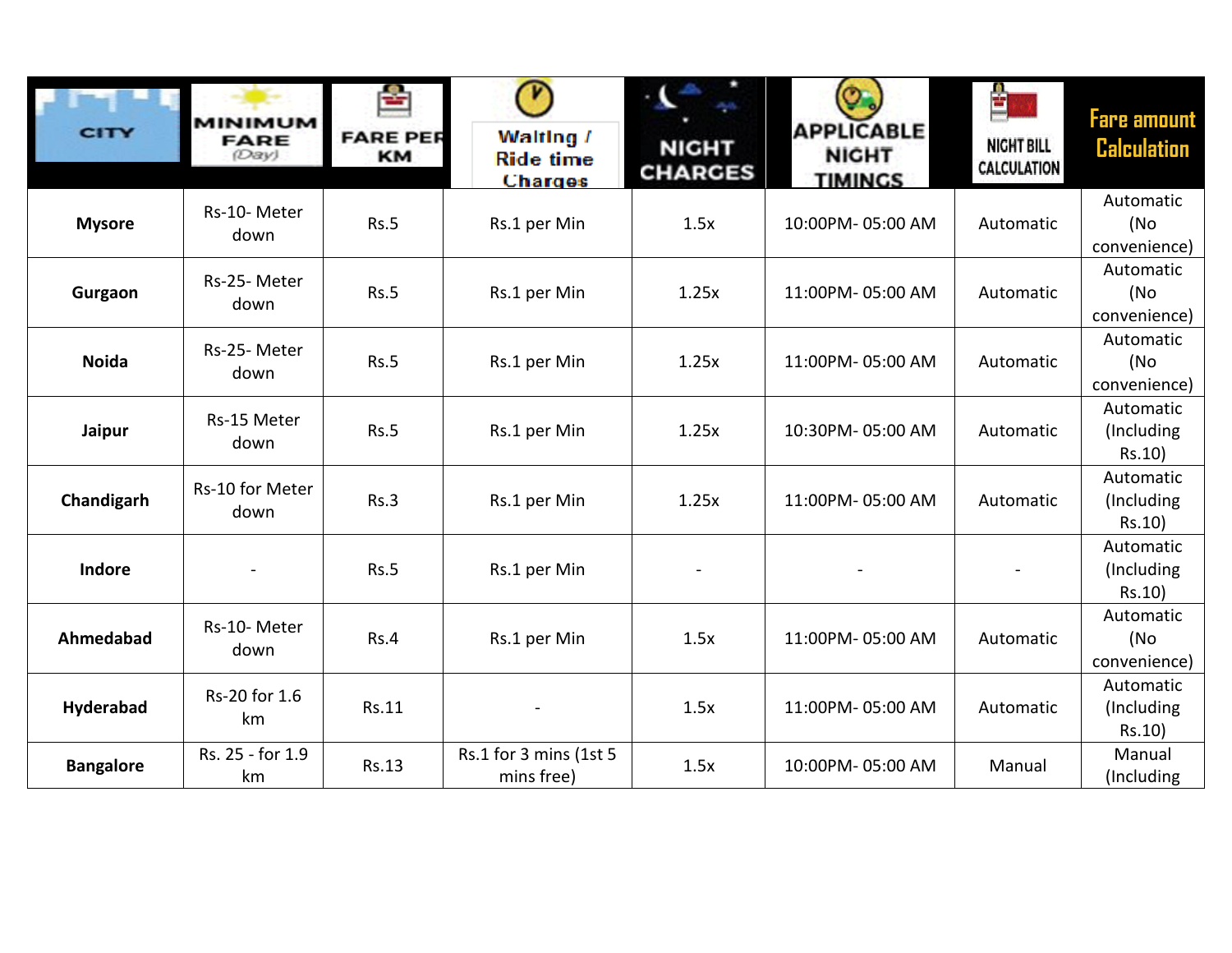| CITY             | <b>MINIMUM</b><br><b>FARE</b><br>(Day) | ÷<br><b>FARE PER</b><br><b>KM</b> | V<br>Walting /<br><b>Ride time</b>   | <b>NIGHT</b><br><b>CHARGES</b> | <b>APPLICABLE</b><br><b>NIGHT</b> | 췈<br><b>NIGHT BILL</b><br><b>CALCULATION</b> | <b>Fare amount</b><br><b>Calculation</b> |
|------------------|----------------------------------------|-----------------------------------|--------------------------------------|--------------------------------|-----------------------------------|----------------------------------------------|------------------------------------------|
|                  |                                        |                                   | <b>Charges</b>                       |                                | <b>TIMINGS</b>                    |                                              | Automatic                                |
| <b>Mysore</b>    | Rs-10-Meter<br>down                    | Rs.5                              | Rs.1 per Min                         | 1.5x                           | 10:00PM-05:00 AM                  | Automatic                                    | (No<br>convenience)                      |
| Gurgaon          | Rs-25-Meter<br>down                    | <b>Rs.5</b>                       | Rs.1 per Min                         | 1.25x                          | 11:00PM-05:00 AM                  | Automatic                                    | Automatic<br>(No<br>convenience)         |
| <b>Noida</b>     | Rs-25-Meter<br>down                    | <b>Rs.5</b>                       | Rs.1 per Min                         | 1.25x                          | 11:00PM-05:00 AM                  | Automatic                                    | Automatic<br>(No<br>convenience)         |
| Jaipur           | Rs-15 Meter<br>down                    | Rs.5                              | Rs.1 per Min                         | 1.25x                          | 10:30PM-05:00 AM                  | Automatic                                    | Automatic<br>(Including<br>Rs.10)        |
| Chandigarh       | Rs-10 for Meter<br>down                | Rs.3                              | Rs.1 per Min                         | 1.25x                          | 11:00PM-05:00 AM                  | Automatic                                    | Automatic<br>(Including)<br>Rs.10)       |
| <b>Indore</b>    |                                        | Rs.5                              | Rs.1 per Min                         |                                |                                   |                                              | Automatic<br>(Including<br>Rs.10)        |
| Ahmedabad        | Rs-10-Meter<br>down                    | Rs.4                              | Rs.1 per Min                         | 1.5x                           | 11:00PM-05:00 AM                  | Automatic                                    | Automatic<br>(No<br>convenience)         |
| Hyderabad        | Rs-20 for 1.6<br>km                    | Rs.11                             |                                      | 1.5x                           | 11:00PM-05:00 AM                  | Automatic                                    | Automatic<br>(Including<br>Rs.10)        |
| <b>Bangalore</b> | Rs. 25 - for 1.9<br>km                 | <b>Rs.13</b>                      | Rs.1 for 3 mins (1st 5<br>mins free) | 1.5x                           | 10:00PM-05:00 AM                  | Manual                                       | Manual<br>(Including                     |